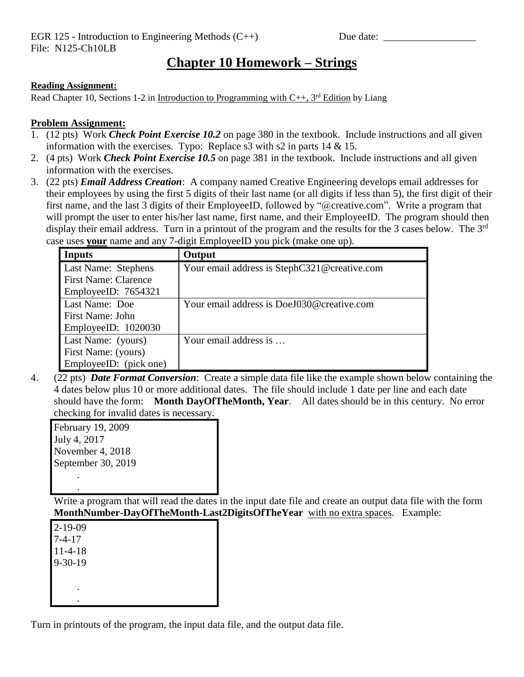## **Chapter 10 Homework – Strings**

## **Reading Assignment:**

Read Chapter 10, Sections 1-2 in Introduction to Programming with  $C_{++}$ , 3<sup>rd</sup> Edition by Liang

## **Problem Assignment:**

- 1. (12 pts) Work *Check Point Exercise 10.2* on page 380 in the textbook. Include instructions and all given information with the exercises. Typo: Replace  $s3$  with  $s2$  in parts  $14 \& 15$ .
- 2. (4 pts) Work *Check Point Exercise 10.5* on page 381 in the textbook. Include instructions and all given information with the exercises.
- 3. (22 pts) *Email Address Creation*: A company named Creative Engineering develops email addresses for their employees by using the first 5 digits of their last name (or all digits if less than 5), the first digit of their first name, and the last 3 digits of their EmployeeID, followed by "@creative.com". Write a program that will prompt the user to enter his/her last name, first name, and their EmployeeID. The program should then display their email address. Turn in a printout of the program and the results for the 3 cases below. The 3<sup>rd</sup> case uses **your** name and any 7-digit EmployeeID you pick (make one up).

| Inputs                      | Output                                       |
|-----------------------------|----------------------------------------------|
| Last Name: Stephens         | Your email address is StephC321@creative.com |
| <b>First Name: Clarence</b> |                                              |
| EmployeeID: 7654321         |                                              |
| Last Name: Doe              | Your email address is DoeJ030@creative.com   |
| First Name: John            |                                              |
| EmployeeID: 1020030         |                                              |
| Last Name: (yours)          | Your email address is                        |
| First Name: (yours)         |                                              |
| EmployeeID: (pick one)      |                                              |

4. (22 pts) *Date Format Conversion*: Create a simple data file like the example shown below containing the 4 dates below plus 10 or more additional dates. The file should include 1 date per line and each date should have the form: **Month DayOfTheMonth, Year**. All dates should be in this century. No error checking for invalid dates is necessary.

| February 19, 2009  |
|--------------------|
| July 4, 2017       |
| November 4, 2018   |
| September 30, 2019 |
|                    |

.

Write a program that will read the dates in the input date file and create an output data file with the form **MonthNumber-DayOfTheMonth-Last2DigitsOfTheYear** with no extra spaces. Example:

2-19-09 7-4-17 11-4-18 9-30-19 . .

Turn in printouts of the program, the input data file, and the output data file.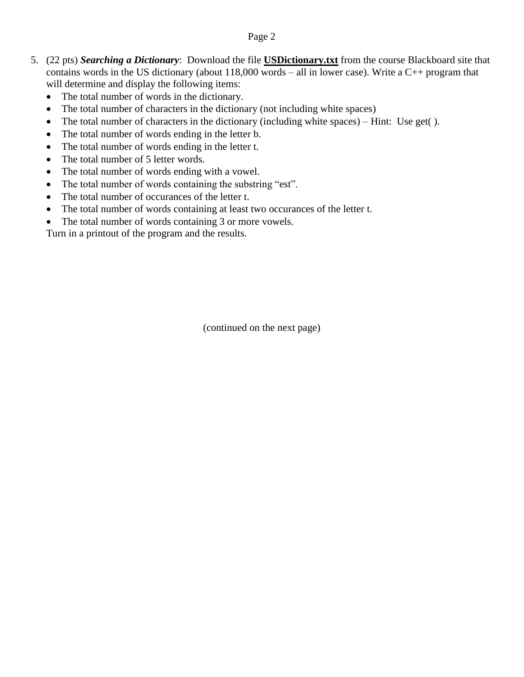## Page 2

- 5. (22 pts) *Searching a Dictionary*: Download the file **USDictionary.txt** from the course Blackboard site that contains words in the US dictionary (about 118,000 words – all in lower case). Write a C++ program that will determine and display the following items:
	- The total number of words in the dictionary.
	- The total number of characters in the dictionary (not including white spaces)
	- The total number of characters in the dictionary (including white spaces) Hint: Use get( ).
	- The total number of words ending in the letter b.
	- The total number of words ending in the letter t.
	- The total number of 5 letter words.
	- The total number of words ending with a vowel.
	- The total number of words containing the substring "est".
	- The total number of occurances of the letter t.
	- The total number of words containing at least two occurances of the letter t.
	- The total number of words containing 3 or more vowels.

Turn in a printout of the program and the results.

(continued on the next page)